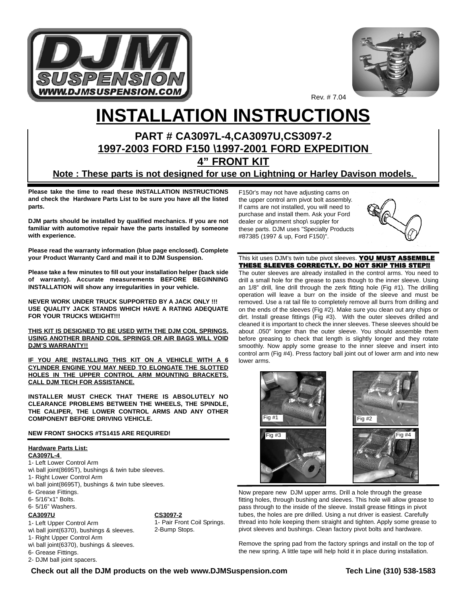



# **INSTALLATION INSTRUCTIONS**

# **PART # CA3097L-4,CA3097U,CS3097-2 1997-2003 FORD F150 \1997-2001 FORD EXPEDITION 4" FRONT KIT**

**Note : These parts is not designed for use on Lightning or Harley Davison models.** 

**Please take the time to read these INSTALLATION INSTRUCTIONS and check the Hardware Parts List to be sure you have all the listed parts.**

**DJM parts should be installed by qualified mechanics. If you are not familiar with automotive repair have the parts installed by someone with experience.**

**Please read the warranty information (blue page enclosed). Complete your Product Warranty Card and mail it to DJM Suspension.**

**Please take a few minutes to fill out your installation helper (back side of warranty). Accurate measurements BEFORE BEGINNING INSTALLATION will show any irregularities in your vehicle.**

**NEVER WORK UNDER TRUCK SUPPORTED BY A JACK ONLY !!! USE QUALITY JACK STANDS WHICH HAVE A RATING ADEQUATE FOR YOUR TRUCKS WEIGHT!!!**

**THIS KIT IS DESIGNED TO BE USED WITH THE DJM COIL SPRINGS. USING ANOTHER BRAND COIL SPRINGS OR AIR BAGS WILL VOID DJM'S WARRANTY!!**

**IF YOU ARE INSTALLING THIS KIT ON A VEHICLE WITH A 6 CYLINDER ENGINE YOU MAY NEED TO ELONGATE THE SLOTTED HOLES IN THE UPPER CONTROL ARM MOUNTING BRACKETS. CALL DJM TECH FOR ASSISTANCE.**

**INSTALLER MUST CHECK THAT THERE IS ABSOLUTELY NO CLEARANCE PROBLEMS BETWEEN THE WHEELS, THE SPINDLE, THE CALIPER, THE LOWER CONTROL ARMS AND ANY OTHER COMPONENT BEFORE DRIVING VEHICLE.**

#### **NEW FRONT SHOCKS #TS1415 ARE REQUIRED!**

## **Hardware Parts List:**

**CA3097L-4** 

- 1- Left Lower Control Arm
- w\ ball joint(8695T), bushings & twin tube sleeves.
- 1- Right Lower Control Arm
- w\ ball joint(8695T), bushings & twin tube sleeves.
- 6- Grease Fittings.
- 6- 5/16"x1" Bolts.
- 6- 5/16" Washers.

#### **CA3097U**

1- Left Upper Control Arm

w\ ball joint(6370), bushings & sleeves.

1- Right Upper Control Arm

w\ ball joint(6370), bushings & sleeves.

6- Grease Fittings.

2- DJM ball joint spacers.

#### F150r's may not have adjusting cams on the upper control arm pivot bolt assembly. If cams are not installed, you will need to purchase and install them. Ask your Ford dealer or alignment shop\ suppler for these parts. DJM uses "Specialty Products #87385 (1997 & up, Ford F150)".



This kit uses DJM's twin tube pivot sleeves. YOU MUST ASSEMBLE THESE SLEEVES CORRECTLY. DO NOT SKIP THIS STEP!!

The outer sleeves are already installed in the control arms. You need to drill a small hole for the grease to pass though to the inner sleeve. Using an 1/8" drill, line drill through the zerk fitting hole (Fig #1). The drilling operation will leave a burr on the inside of the sleeve and must be removed. Use a rat tail file to completely remove all burrs from drilling and on the ends of the sleeves (Fig #2). Make sure you clean out any chips or dirt. Install grease fittings (Fig #3). With the outer sleeves drilled and cleaned it is important to check the inner sleeves. These sleeves should be about .050" longer than the outer sleeve. You should assemble them before greasing to check that length is slightly longer and they rotate smoothly. Now apply some grease to the inner sleeve and insert into control arm (Fig #4). Press factory ball joint out of lower arm and into new lower arms.



Now prepare new DJM upper arms. Drill a hole through the grease fitting holes, through bushing and sleeves. This hole will allow grease to pass through to the inside of the sleeve. Install grease fittings in pivot tubes, the holes are pre drilled. Using a nut driver is easiest. Carefully thread into hole keeping them straight and tighten. Apply some grease to pivot sleeves and bushings. Clean factory pivot bolts and hardware.

Remove the spring pad from the factory springs and install on the top of the new spring. A little tape will help hold it in place during installation.

## **Check out all the DJM products on the web www.DJMSuspension.com Tech Line (310) 538-1583**

**CS3097-2**

2-Bump Stops.

1- Pair Front Coil Springs.